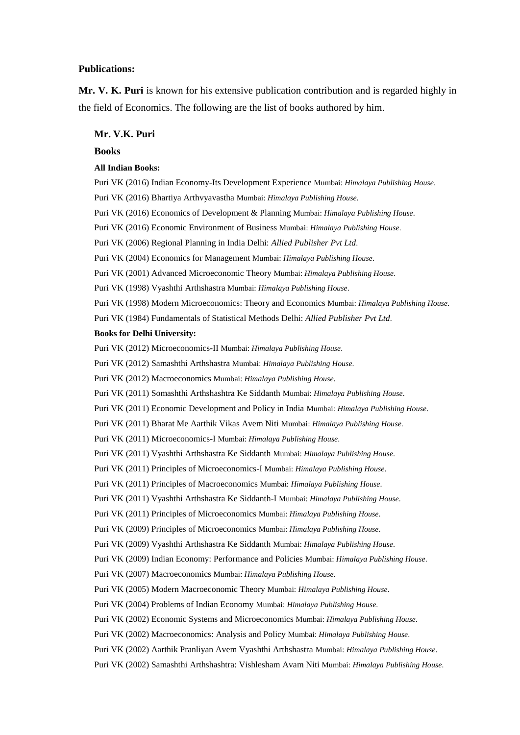## **Publications:**

**Mr. V. K. Puri** is known for his extensive publication contribution and is regarded highly in the field of Economics. The following are the list of books authored by him.

# **Mr. V.K. Puri**

#### **Books**

## **All Indian Books:**

Puri VK (2016) Indian Economy-Its Development Experience Mumbai: *Himalaya Publishing House*. Puri VK (2016) Bhartiya Arthvyavastha Mumbai: *Himalaya Publishing House*. Puri VK (2016) Economics of Development & Planning Mumbai: *Himalaya Publishing House*. Puri VK (2016) Economic Environment of Business Mumbai: *Himalaya Publishing House*. Puri VK (2006) Regional Planning in India Delhi: *Allied Publisher Pvt Ltd*. Puri VK (2004) Economics for Management Mumbai: *Himalaya Publishing House*. Puri VK (2001) Advanced Microeconomic Theory Mumbai: *Himalaya Publishing House*. Puri VK (1998) Vyashthi Arthshastra Mumbai: *Himalaya Publishing House*. Puri VK (1998) Modern Microeconomics: Theory and Economics Mumbai: *Himalaya Publishing House*. Puri VK (1984) Fundamentals of Statistical Methods Delhi: *Allied Publisher Pvt Ltd*. **Books for Delhi University:** Puri VK (2012) Microeconomics-II Mumbai: *Himalaya Publishing House*. Puri VK (2012) Samashthi Arthshastra Mumbai: *Himalaya Publishing House*. Puri VK (2012) Macroeconomics Mumbai: *Himalaya Publishing House*. Puri VK (2011) Somashthi Arthshashtra Ke Siddanth Mumbai: *Himalaya Publishing House*. Puri VK (2011) Economic Development and Policy in India Mumbai: *Himalaya Publishing House*. Puri VK (2011) Bharat Me Aarthik Vikas Avem Niti Mumbai: *Himalaya Publishing House*. Puri VK (2011) Microeconomics-I Mumbai: *Himalaya Publishing House*. Puri VK (2011) Vyashthi Arthshastra Ke Siddanth Mumbai: *Himalaya Publishing House*. Puri VK (2011) Principles of Microeconomics-I Mumbai: *Himalaya Publishing House*. Puri VK (2011) Principles of Macroeconomics Mumbai: *Himalaya Publishing House*. Puri VK (2011) Vyashthi Arthshastra Ke Siddanth-I Mumbai: *Himalaya Publishing House*. Puri VK (2011) Principles of Microeconomics Mumbai: *Himalaya Publishing House*. Puri VK (2009) Principles of Microeconomics Mumbai: *Himalaya Publishing House*. Puri VK (2009) Vyashthi Arthshastra Ke Siddanth Mumbai: *Himalaya Publishing House*. Puri VK (2009) Indian Economy: Performance and Policies Mumbai: *Himalaya Publishing House*. Puri VK (2007) Macroeconomics Mumbai: *Himalaya Publishing House*. Puri VK (2005) Modern Macroeconomic Theory Mumbai: *Himalaya Publishing House*. Puri VK (2004) Problems of Indian Economy Mumbai: *Himalaya Publishing House*. Puri VK (2002) Economic Systems and Microeconomics Mumbai: *Himalaya Publishing House*. Puri VK (2002) Macroeconomics: Analysis and Policy Mumbai: *Himalaya Publishing House*. Puri VK (2002) Aarthik Pranliyan Avem Vyashthi Arthshastra Mumbai: *Himalaya Publishing House*. Puri VK (2002) Samashthi Arthshashtra: Vishlesham Avam Niti Mumbai: *Himalaya Publishing House*.